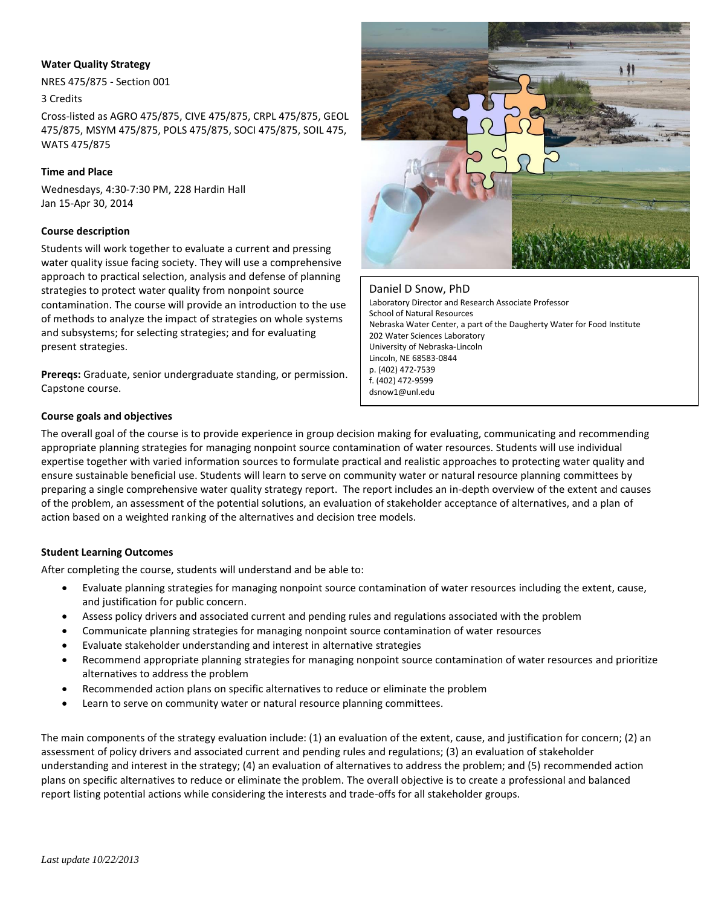## **Water Quality Strategy**

NRES 475/875 - Section 001

#### 3 Credits

Cross-listed as AGRO 475/875, CIVE 475/875, CRPL 475/875, GEOL 475/875, MSYM 475/875, POLS 475/875, SOCI 475/875, SOIL 475, WATS 475/875

## **Time and Place**

Wednesdays, 4:30-7:30 PM, 228 Hardin Hall Jan 15-Apr 30, 2014

### **Course description**

Students will work together to evaluate a current and pressing water quality issue facing society. They will use a comprehensive approach to practical selection, analysis and defense of planning strategies to protect water quality from nonpoint source contamination. The course will provide an introduction to the use of methods to analyze the impact of strategies on whole systems and subsystems; for selecting strategies; and for evaluating present strategies.

**Prereqs:** Graduate, senior undergraduate standing, or permission. Capstone course.



Daniel D Snow, PhD Laboratory Director and Research Associate Professor School of Natural Resources Nebraska Water Center, a part of the Daugherty Water for Food Institute 202 Water Sciences Laboratory University of Nebraska-Lincoln Lincoln, NE 68583-0844 p. (402) 472-7539 f. (402) 472-9599 dsnow1@unl.edu

## **Course goals and objectives**

The overall goal of the course is to provide experience in group decision making for evaluating, communicating and recommending appropriate planning strategies for managing nonpoint source contamination of water resources. Students will use individual expertise together with varied information sources to formulate practical and realistic approaches to protecting water quality and ensure sustainable beneficial use. Students will learn to serve on community water or natural resource planning committees by preparing a single comprehensive water quality strategy report. The report includes an in-depth overview of the extent and causes of the problem, an assessment of the potential solutions, an evaluation of stakeholder acceptance of alternatives, and a plan of action based on a weighted ranking of the alternatives and decision tree models.

## **Student Learning Outcomes**

After completing the course, students will understand and be able to:

- Evaluate planning strategies for managing nonpoint source contamination of water resources including the extent, cause, and justification for public concern.
- Assess policy drivers and associated current and pending rules and regulations associated with the problem
- Communicate planning strategies for managing nonpoint source contamination of water resources
- Evaluate stakeholder understanding and interest in alternative strategies
- Recommend appropriate planning strategies for managing nonpoint source contamination of water resources and prioritize alternatives to address the problem
- Recommended action plans on specific alternatives to reduce or eliminate the problem
- Learn to serve on community water or natural resource planning committees.

The main components of the strategy evaluation include: (1) an evaluation of the extent, cause, and justification for concern; (2) an assessment of policy drivers and associated current and pending rules and regulations; (3) an evaluation of stakeholder understanding and interest in the strategy; (4) an evaluation of alternatives to address the problem; and (5) recommended action plans on specific alternatives to reduce or eliminate the problem. The overall objective is to create a professional and balanced report listing potential actions while considering the interests and trade-offs for all stakeholder groups.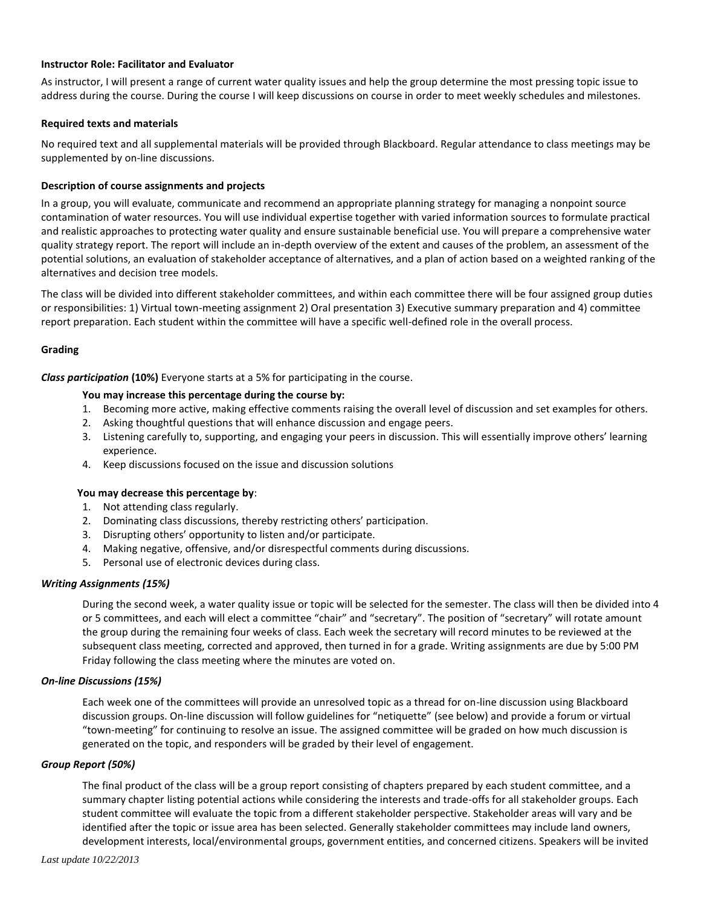## **Instructor Role: Facilitator and Evaluator**

As instructor, I will present a range of current water quality issues and help the group determine the most pressing topic issue to address during the course. During the course I will keep discussions on course in order to meet weekly schedules and milestones.

### **Required texts and materials**

No required text and all supplemental materials will be provided through Blackboard. Regular attendance to class meetings may be supplemented by on-line discussions.

### **Description of course assignments and projects**

In a group, you will evaluate, communicate and recommend an appropriate planning strategy for managing a nonpoint source contamination of water resources. You will use individual expertise together with varied information sources to formulate practical and realistic approaches to protecting water quality and ensure sustainable beneficial use. You will prepare a comprehensive water quality strategy report. The report will include an in-depth overview of the extent and causes of the problem, an assessment of the potential solutions, an evaluation of stakeholder acceptance of alternatives, and a plan of action based on a weighted ranking of the alternatives and decision tree models.

The class will be divided into different stakeholder committees, and within each committee there will be four assigned group duties or responsibilities: 1) Virtual town-meeting assignment 2) Oral presentation 3) Executive summary preparation and 4) committee report preparation. Each student within the committee will have a specific well-defined role in the overall process.

### **Grading**

*Class participation* **(10%)** Everyone starts at a 5% for participating in the course.

#### **You may increase this percentage during the course by:**

- 1. Becoming more active, making effective comments raising the overall level of discussion and set examples for others.
- 2. Asking thoughtful questions that will enhance discussion and engage peers.
- 3. Listening carefully to, supporting, and engaging your peers in discussion. This will essentially improve others' learning experience.
- 4. Keep discussions focused on the issue and discussion solutions

#### **You may decrease this percentage by**:

- 1. Not attending class regularly.
- 2. Dominating class discussions, thereby restricting others' participation.
- 3. Disrupting others' opportunity to listen and/or participate.
- 4. Making negative, offensive, and/or disrespectful comments during discussions.
- 5. Personal use of electronic devices during class.

#### *Writing Assignments (15%)*

During the second week, a water quality issue or topic will be selected for the semester. The class will then be divided into 4 or 5 committees, and each will elect a committee "chair" and "secretary". The position of "secretary" will rotate amount the group during the remaining four weeks of class. Each week the secretary will record minutes to be reviewed at the subsequent class meeting, corrected and approved, then turned in for a grade. Writing assignments are due by 5:00 PM Friday following the class meeting where the minutes are voted on.

#### *On-line Discussions (15%)*

Each week one of the committees will provide an unresolved topic as a thread for on-line discussion using Blackboard discussion groups. On-line discussion will follow guidelines for "netiquette" (see below) and provide a forum or virtual "town-meeting" for continuing to resolve an issue. The assigned committee will be graded on how much discussion is generated on the topic, and responders will be graded by their level of engagement.

#### *Group Report (50%)*

The final product of the class will be a group report consisting of chapters prepared by each student committee, and a summary chapter listing potential actions while considering the interests and trade-offs for all stakeholder groups. Each student committee will evaluate the topic from a different stakeholder perspective. Stakeholder areas will vary and be identified after the topic or issue area has been selected. Generally stakeholder committees may include land owners, development interests, local/environmental groups, government entities, and concerned citizens. Speakers will be invited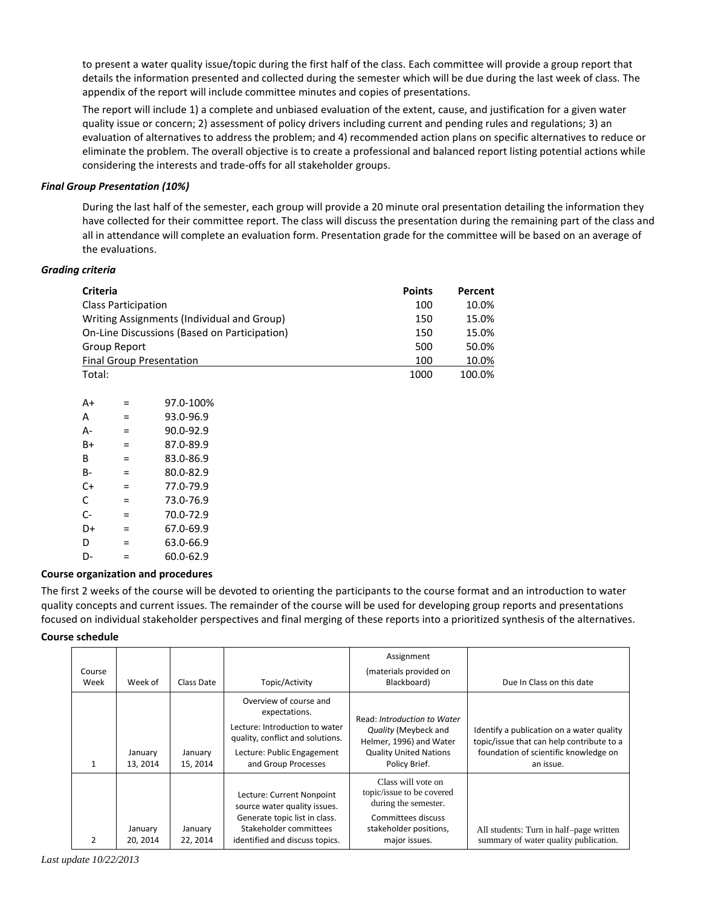to present a water quality issue/topic during the first half of the class. Each committee will provide a group report that details the information presented and collected during the semester which will be due during the last week of class. The appendix of the report will include committee minutes and copies of presentations.

The report will include 1) a complete and unbiased evaluation of the extent, cause, and justification for a given water quality issue or concern; 2) assessment of policy drivers including current and pending rules and regulations; 3) an evaluation of alternatives to address the problem; and 4) recommended action plans on specific alternatives to reduce or eliminate the problem. The overall objective is to create a professional and balanced report listing potential actions while considering the interests and trade-offs for all stakeholder groups.

## *Final Group Presentation (10%)*

During the last half of the semester, each group will provide a 20 minute oral presentation detailing the information they have collected for their committee report. The class will discuss the presentation during the remaining part of the class and all in attendance will complete an evaluation form. Presentation grade for the committee will be based on an average of the evaluations.

#### *Grading criteria*

| <b>Criteria</b>                              | <b>Points</b> | Percent |
|----------------------------------------------|---------------|---------|
| <b>Class Participation</b>                   | 100           | 10.0%   |
| Writing Assignments (Individual and Group)   | 150           | 15.0%   |
| On-Line Discussions (Based on Participation) | 150           | 15.0%   |
| Group Report                                 | 500           | 50.0%   |
| <b>Final Group Presentation</b>              | 100           | 10.0%   |
| Total:                                       | 1000          | 100.0%  |

| A+ |     | 97.0-100% |
|----|-----|-----------|
| А  | =   | 93.0-96.9 |
| А- | =   | 90.0-92.9 |
| B+ | =   | 87.0-89.9 |
| B  | =   | 83.0-86.9 |
| B- | =   | 80.0-82.9 |
| C+ | =   | 77.0-79.9 |
| C  | =   | 73.0-76.9 |
| C- | Ξ   | 70.0-72.9 |
| D+ | $=$ | 67.0-69.9 |
| D  | $=$ | 63.0-66.9 |
| D- | =   | 60.0-62.9 |

#### **Course organization and procedures**

The first 2 weeks of the course will be devoted to orienting the participants to the course format and an introduction to water quality concepts and current issues. The remainder of the course will be used for developing group reports and presentations focused on individual stakeholder perspectives and final merging of these reports into a prioritized synthesis of the alternatives.

## **Course schedule**

| Course<br>Week | Week of             | Class Date          | Topic/Activity                                                                                                                                                     | Assignment<br>(materials provided on<br>Blackboard)                                                                                      | Due In Class on this date                                                                                                                    |
|----------------|---------------------|---------------------|--------------------------------------------------------------------------------------------------------------------------------------------------------------------|------------------------------------------------------------------------------------------------------------------------------------------|----------------------------------------------------------------------------------------------------------------------------------------------|
| 1              | January<br>13, 2014 | January<br>15, 2014 | Overview of course and<br>expectations.<br>Lecture: Introduction to water<br>quality, conflict and solutions.<br>Lecture: Public Engagement<br>and Group Processes | Read: Introduction to Water<br>Quality (Meybeck and<br>Helmer, 1996) and Water<br><b>Quality United Nations</b><br>Policy Brief.         | Identify a publication on a water quality<br>topic/issue that can help contribute to a<br>foundation of scientific knowledge on<br>an issue. |
| 2              | January<br>20, 2014 | January<br>22, 2014 | Lecture: Current Nonpoint<br>source water quality issues.<br>Generate topic list in class.<br>Stakeholder committees<br>identified and discuss topics.             | Class will vote on<br>topic/issue to be covered<br>during the semester.<br>Committees discuss<br>stakeholder positions,<br>major issues. | All students: Turn in half-page written<br>summary of water quality publication.                                                             |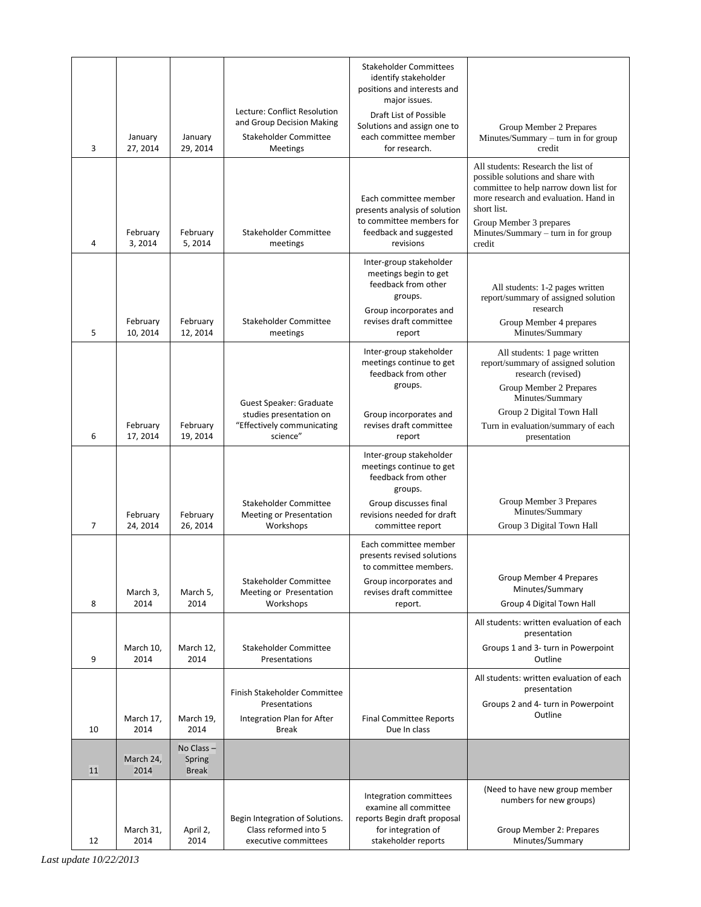|                |                      |                                     |                                                                                    | <b>Stakeholder Committees</b><br>identify stakeholder<br>positions and interests and<br>major issues.                                             |                                                                                                                                                                                                                                                       |
|----------------|----------------------|-------------------------------------|------------------------------------------------------------------------------------|---------------------------------------------------------------------------------------------------------------------------------------------------|-------------------------------------------------------------------------------------------------------------------------------------------------------------------------------------------------------------------------------------------------------|
|                | January              | January                             | Lecture: Conflict Resolution<br>and Group Decision Making<br>Stakeholder Committee | Draft List of Possible<br>Solutions and assign one to<br>each committee member                                                                    | Group Member 2 Prepares<br>Minutes/Summary - turn in for group                                                                                                                                                                                        |
| 3              | 27, 2014             | 29, 2014                            | <b>Meetings</b>                                                                    | for research.                                                                                                                                     | credit                                                                                                                                                                                                                                                |
| 4              | February<br>3,2014   | February<br>5,2014                  | Stakeholder Committee<br>meetings                                                  | Each committee member<br>presents analysis of solution<br>to committee members for<br>feedback and suggested<br>revisions                         | All students: Research the list of<br>possible solutions and share with<br>committee to help narrow down list for<br>more research and evaluation. Hand in<br>short list.<br>Group Member 3 prepares<br>Minutes/Summary – turn in for group<br>credit |
| 5              | February<br>10, 2014 | February<br>12, 2014                | Stakeholder Committee<br>meetings                                                  | Inter-group stakeholder<br>meetings begin to get<br>feedback from other<br>groups.<br>Group incorporates and<br>revises draft committee<br>report | All students: 1-2 pages written<br>report/summary of assigned solution<br>research<br>Group Member 4 prepares<br>Minutes/Summary                                                                                                                      |
|                |                      |                                     | Guest Speaker: Graduate                                                            | Inter-group stakeholder<br>meetings continue to get<br>feedback from other<br>groups.                                                             | All students: 1 page written<br>report/summary of assigned solution<br>research (revised)<br>Group Member 2 Prepares<br>Minutes/Summary                                                                                                               |
| 6              | February<br>17, 2014 | February<br>19, 2014                | studies presentation on<br>"Effectively communicating<br>science"                  | Group incorporates and<br>revises draft committee<br>report                                                                                       | Group 2 Digital Town Hall<br>Turn in evaluation/summary of each<br>presentation                                                                                                                                                                       |
|                | February             | February                            | Stakeholder Committee<br>Meeting or Presentation                                   | Inter-group stakeholder<br>meetings continue to get<br>feedback from other<br>groups.<br>Group discusses final<br>revisions needed for draft      | Group Member 3 Prepares<br>Minutes/Summary                                                                                                                                                                                                            |
| $\overline{7}$ | 24, 2014             | 26, 2014                            | Workshops                                                                          | committee report                                                                                                                                  | Group 3 Digital Town Hall                                                                                                                                                                                                                             |
|                |                      |                                     |                                                                                    | Each committee member<br>presents revised solutions<br>to committee members.                                                                      |                                                                                                                                                                                                                                                       |
| 8              | March 3,<br>2014     | March 5,<br>2014                    | Stakeholder Committee<br>Meeting or Presentation<br>Workshops                      | Group incorporates and<br>revises draft committee<br>report.                                                                                      | Group Member 4 Prepares<br>Minutes/Summary<br>Group 4 Digital Town Hall                                                                                                                                                                               |
|                |                      |                                     |                                                                                    |                                                                                                                                                   | All students: written evaluation of each                                                                                                                                                                                                              |
| 9              | March 10,<br>2014    | March 12,<br>2014                   | <b>Stakeholder Committee</b><br>Presentations                                      |                                                                                                                                                   | presentation<br>Groups 1 and 3- turn in Powerpoint<br>Outline                                                                                                                                                                                         |
|                |                      |                                     | Finish Stakeholder Committee<br>Presentations                                      |                                                                                                                                                   | All students: written evaluation of each<br>presentation<br>Groups 2 and 4- turn in Powerpoint                                                                                                                                                        |
| 10             | March 17,<br>2014    | March 19,<br>2014                   | Integration Plan for After<br><b>Break</b>                                         | <b>Final Committee Reports</b><br>Due In class                                                                                                    | Outline                                                                                                                                                                                                                                               |
| 11             | March 24,<br>2014    | No Class-<br>Spring<br><b>Break</b> |                                                                                    |                                                                                                                                                   |                                                                                                                                                                                                                                                       |
| 12             | March 31,<br>2014    | April 2,<br>2014                    | Begin Integration of Solutions.<br>Class reformed into 5<br>executive committees   | Integration committees<br>examine all committee<br>reports Begin draft proposal<br>for integration of<br>stakeholder reports                      | (Need to have new group member<br>numbers for new groups)<br>Group Member 2: Prepares<br>Minutes/Summary                                                                                                                                              |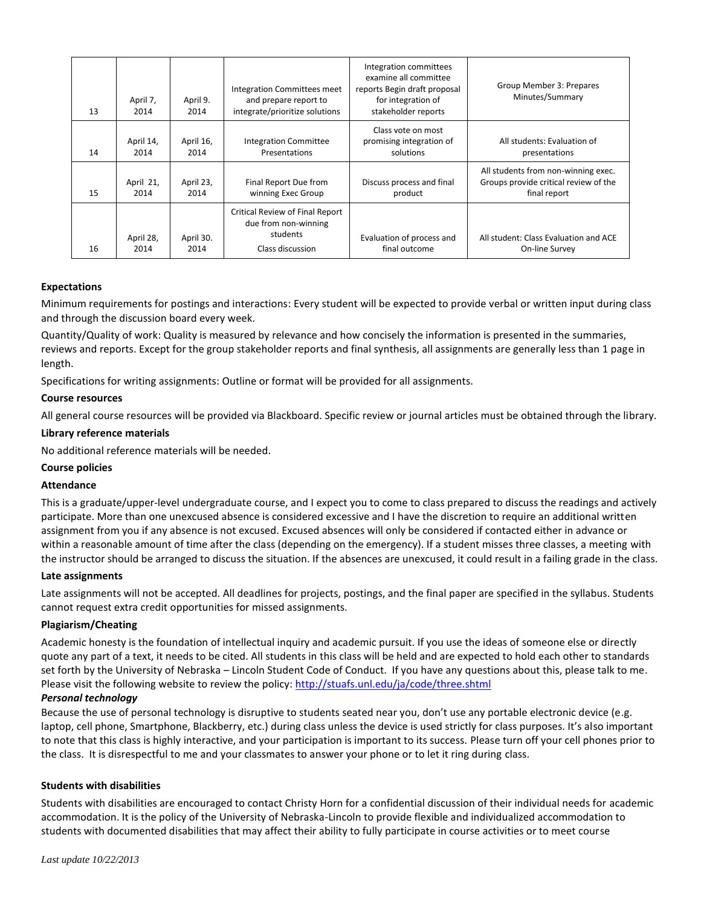| 13 | April 7,<br>2014  | April 9.<br>2014  | <b>Integration Committees meet</b><br>and prepare report to<br>integrate/prioritize solutions | Integration committees<br>examine all committee<br>reports Begin draft proposal<br>for integration of<br>stakeholder reports | Group Member 3: Prepares<br>Minutes/Summary                                                  |
|----|-------------------|-------------------|-----------------------------------------------------------------------------------------------|------------------------------------------------------------------------------------------------------------------------------|----------------------------------------------------------------------------------------------|
| 14 | April 14,<br>2014 | April 16,<br>2014 | <b>Integration Committee</b><br>Presentations                                                 | Class vote on most<br>promising integration of<br>solutions                                                                  | All students: Evaluation of<br>presentations                                                 |
| 15 | April 21,<br>2014 | April 23,<br>2014 | Final Report Due from<br>winning Exec Group                                                   | Discuss process and final<br>product                                                                                         | All students from non-winning exec.<br>Groups provide critical review of the<br>final report |
| 16 | April 28,<br>2014 | April 30.<br>2014 | Critical Review of Final Report<br>due from non-winning<br>students<br>Class discussion       | Evaluation of process and<br>final outcome                                                                                   | All student: Class Evaluation and ACE<br>On-line Survey                                      |

## **Expectations**

Minimum requirements for postings and interactions: Every student will be expected to provide verbal or written input during class and through the discussion board every week.

Quantity/Quality of work: Quality is measured by relevance and how concisely the information is presented in the summaries, reviews and reports. Except for the group stakeholder reports and final synthesis, all assignments are generally less than 1 page in length.

Specifications for writing assignments: Outline or format will be provided for all assignments.

#### **Course resources**

All general course resources will be provided via Blackboard. Specific review or journal articles must be obtained through the library.

#### **Library reference materials**

No additional reference materials will be needed.

## **Course policies**

#### **Attendance**

This is a graduate/upper-level undergraduate course, and I expect you to come to class prepared to discuss the readings and actively participate. More than one unexcused absence is considered excessive and I have the discretion to require an additional written assignment from you if any absence is not excused. Excused absences will only be considered if contacted either in advance or within a reasonable amount of time after the class (depending on the emergency). If a student misses three classes, a meeting with the instructor should be arranged to discuss the situation. If the absences are unexcused, it could result in a failing grade in the class.

#### **Late assignments**

Late assignments will not be accepted. All deadlines for projects, postings, and the final paper are specified in the syllabus. Students cannot request extra credit opportunities for missed assignments.

#### **Plagiarism/Cheating**

Academic honesty is the foundation of intellectual inquiry and academic pursuit. If you use the ideas of someone else or directly quote any part of a text, it needs to be cited. All students in this class will be held and are expected to hold each other to standards set forth by the University of Nebraska – Lincoln Student Code of Conduct. If you have any questions about this, please talk to me. Please visit the following website to review the policy:<http://stuafs.unl.edu/ja/code/three.shtml>

## *Personal technology*

Because the use of personal technology is disruptive to students seated near you, don't use any portable electronic device (e.g. laptop, cell phone, Smartphone, Blackberry, etc.) during class unless the device is used strictly for class purposes. It's also important to note that this class is highly interactive, and your participation is important to its success. Please turn off your cell phones prior to the class. It is disrespectful to me and your classmates to answer your phone or to let it ring during class.

#### **Students with disabilities**

Students with disabilities are encouraged to contact Christy Horn for a confidential discussion of their individual needs for academic accommodation. It is the policy of the University of Nebraska-Lincoln to provide flexible and individualized accommodation to students with documented disabilities that may affect their ability to fully participate in course activities or to meet course